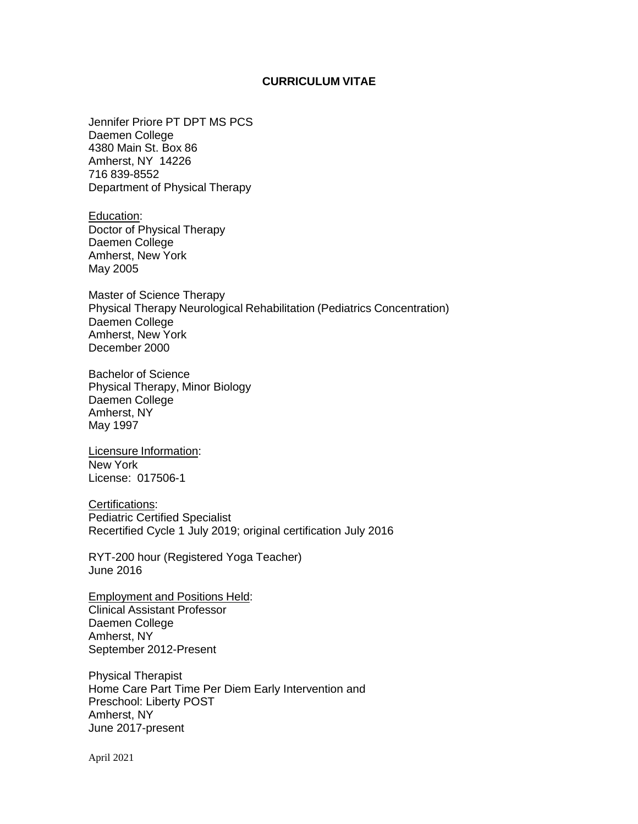## **CURRICULUM VITAE**

Jennifer Priore PT DPT MS PCS Daemen College 4380 Main St. Box 86 Amherst, NY 14226 716 839-8552 Department of Physical Therapy

Education: Doctor of Physical Therapy Daemen College Amherst, New York May 2005

Master of Science Therapy Physical Therapy Neurological Rehabilitation (Pediatrics Concentration) Daemen College Amherst, New York December 2000

Bachelor of Science Physical Therapy, Minor Biology Daemen College Amherst, NY May 1997

Licensure Information: New York License: 017506-1

Certifications: Pediatric Certified Specialist Recertified Cycle 1 July 2019; original certification July 2016

RYT-200 hour (Registered Yoga Teacher) June 2016

Employment and Positions Held: Clinical Assistant Professor Daemen College Amherst, NY September 2012-Present

Physical Therapist Home Care Part Time Per Diem Early Intervention and Preschool: Liberty POST Amherst, NY June 2017-present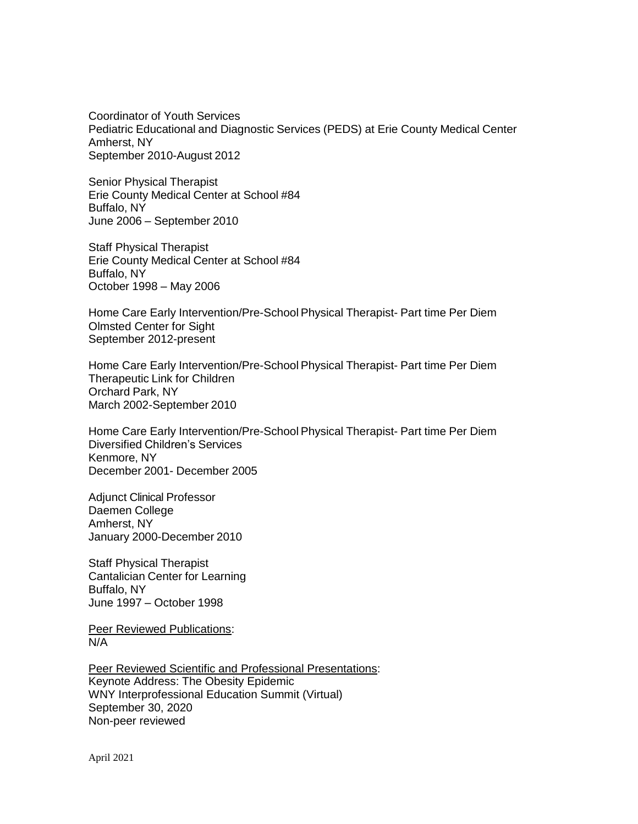Coordinator of Youth Services Pediatric Educational and Diagnostic Services (PEDS) at Erie County Medical Center Amherst, NY September 2010-August 2012

Senior Physical Therapist Erie County Medical Center at School #84 Buffalo, NY June 2006 – September 2010

Staff Physical Therapist Erie County Medical Center at School #84 Buffalo, NY October 1998 – May 2006

Home Care Early Intervention/Pre-School Physical Therapist- Part time Per Diem Olmsted Center for Sight September 2012-present

Home Care Early Intervention/Pre-School Physical Therapist- Part time Per Diem Therapeutic Link for Children Orchard Park, NY March 2002-September 2010

Home Care Early Intervention/Pre-School Physical Therapist- Part time Per Diem Diversified Children's Services Kenmore, NY December 2001- December 2005

Adjunct Clinical Professor Daemen College Amherst, NY January 2000-December 2010

Staff Physical Therapist Cantalician Center for Learning Buffalo, NY June 1997 – October 1998

**Peer Reviewed Publications:** N/A

Peer Reviewed Scientific and Professional Presentations: Keynote Address: The Obesity Epidemic WNY Interprofessional Education Summit (Virtual) September 30, 2020 Non-peer reviewed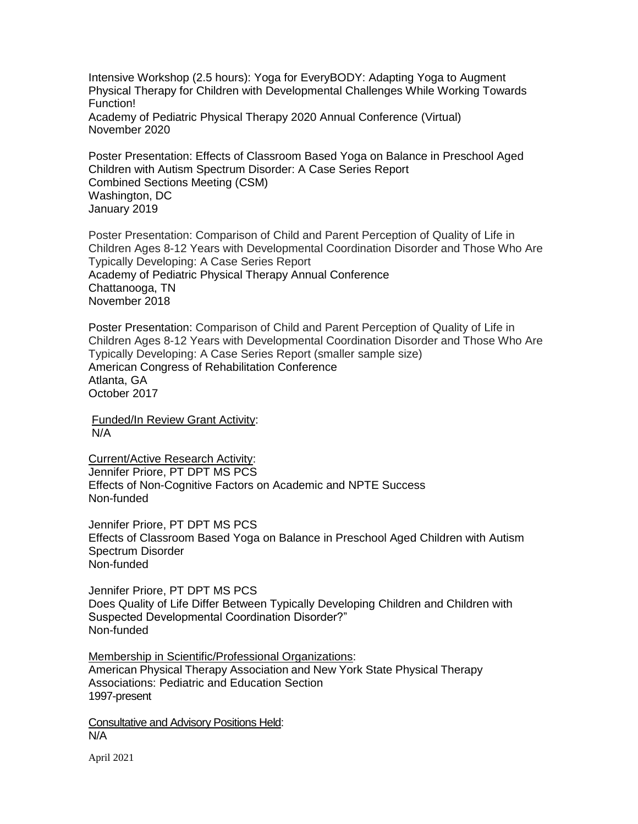Intensive Workshop (2.5 hours): Yoga for EveryBODY: Adapting Yoga to Augment Physical Therapy for Children with Developmental Challenges While Working Towards Function! Academy of Pediatric Physical Therapy 2020 Annual Conference (Virtual) November 2020

Poster Presentation: Effects of Classroom Based Yoga on Balance in Preschool Aged Children with Autism Spectrum Disorder: A Case Series Report Combined Sections Meeting (CSM) Washington, DC January 2019

Poster Presentation: Comparison of Child and Parent Perception of Quality of Life in Children Ages 8-12 Years with Developmental Coordination Disorder and Those Who Are Typically Developing: A Case Series Report Academy of Pediatric Physical Therapy Annual Conference Chattanooga, TN November 2018

Poster Presentation: Comparison of Child and Parent Perception of Quality of Life in Children Ages 8-12 Years with Developmental Coordination Disorder and Those Who Are Typically Developing: A Case Series Report (smaller sample size) American Congress of Rehabilitation Conference Atlanta, GA October 2017

Funded/In Review Grant Activity: N/A

Current/Active Research Activity: Jennifer Priore, PT DPT MS PCS Effects of Non-Cognitive Factors on Academic and NPTE Success Non-funded

Jennifer Priore, PT DPT MS PCS Effects of Classroom Based Yoga on Balance in Preschool Aged Children with Autism Spectrum Disorder Non-funded

Jennifer Priore, PT DPT MS PCS Does Quality of Life Differ Between Typically Developing Children and Children with Suspected Developmental Coordination Disorder?" Non-funded

Membership in Scientific/Professional Organizations: American Physical Therapy Association and New York State Physical Therapy Associations: Pediatric and Education Section 1997-present

Consultative and Advisory Positions Held: N/A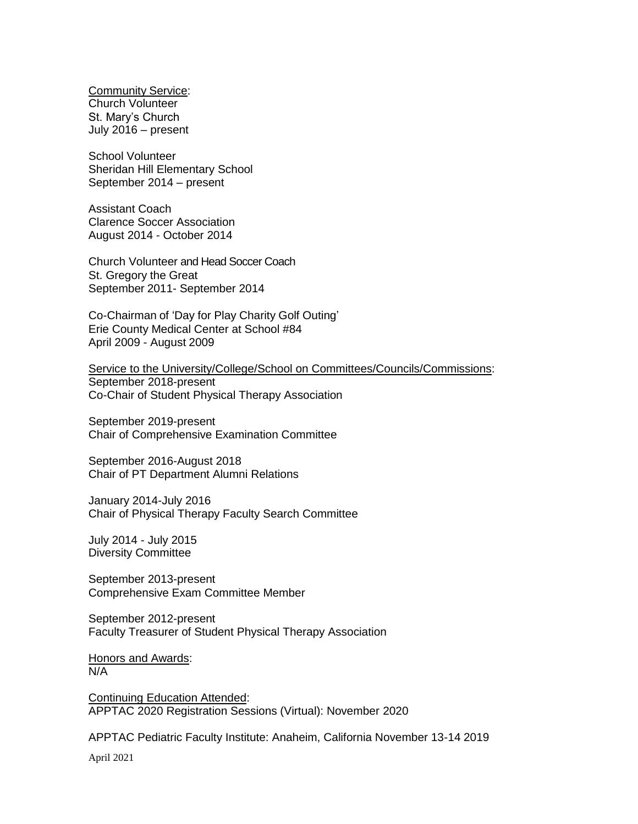Community Service: Church Volunteer St. Mary's Church July 2016 – present

School Volunteer Sheridan Hill Elementary School September 2014 – present

Assistant Coach Clarence Soccer Association August 2014 - October 2014

Church Volunteer and Head Soccer Coach St. Gregory the Great September 2011- September 2014

Co-Chairman of 'Day for Play Charity Golf Outing' Erie County Medical Center at School #84 April 2009 - August 2009

Service to the University/College/School on Committees/Councils/Commissions: September 2018-present Co-Chair of Student Physical Therapy Association

September 2019-present Chair of Comprehensive Examination Committee

September 2016-August 2018 Chair of PT Department Alumni Relations

January 2014-July 2016 Chair of Physical Therapy Faculty Search Committee

July 2014 - July 2015 Diversity Committee

September 2013-present Comprehensive Exam Committee Member

September 2012-present Faculty Treasurer of Student Physical Therapy Association

Honors and Awards: N/A

Continuing Education Attended: APPTAC 2020 Registration Sessions (Virtual): November 2020

APPTAC Pediatric Faculty Institute: Anaheim, California November 13-14 2019